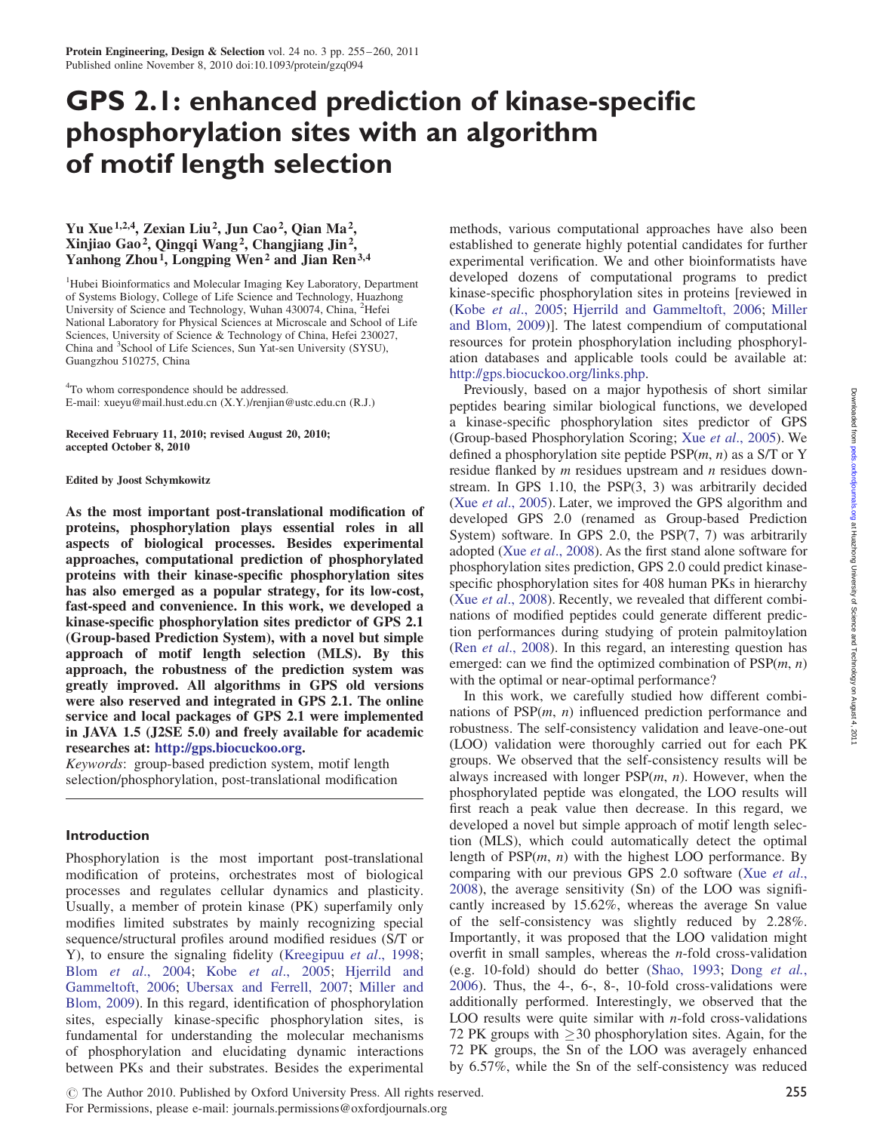# GPS 2.1: enhanced prediction of kinase-specific phosphorylation sites with an algorithm of motif length selection

## Yu Xue 1,2,4, Zexian Liu2, Jun Cao2, Qian Ma2, Xinjiao Gao2, Qingqi Wang2, Changjiang Jin2, Yanhong Zhou<sup>1</sup>, Longping Wen<sup>2</sup> and Jian Ren<sup>3,4</sup>

<sup>1</sup>Hubei Bioinformatics and Molecular Imaging Key Laboratory, Department of Systems Biology, College of Life Science and Technology, Huazhong University of Science and Technology, Wuhan 430074, China, <sup>2</sup>Hefei National Laboratory for Physical Sciences at Microscale and School of Life Sciences, University of Science & Technology of China, Hefei 230027, China and <sup>3</sup>School of Life Sciences, Sun Yat-sen University (SYSU), Guangzhou 510275, China

<sup>4</sup>To whom correspondence should be addressed. E-mail: xueyu@mail.hust.edu.cn (X.Y.)/renjian@ustc.edu.cn (R.J.)

Received February 11, 2010; revised August 20, 2010; accepted October 8, 2010

Edited by Joost Schymkowitz

As the most important post-translational modification of proteins, phosphorylation plays essential roles in all aspects of biological processes. Besides experimental approaches, computational prediction of phosphorylated proteins with their kinase-specific phosphorylation sites has also emerged as a popular strategy, for its low-cost, fast-speed and convenience. In this work, we developed a kinase-specific phosphorylation sites predictor of GPS 2.1 (Group-based Prediction System), with a novel but simple approach of motif length selection (MLS). By this approach, the robustness of the prediction system was greatly improved. All algorithms in GPS old versions were also reserved and integrated in GPS 2.1. The online service and local packages of GPS 2.1 were implemented in JAVA 1.5 (J2SE 5.0) and freely available for academic researches at: [http://gps.biocuckoo.org.](http://gps.biocuckoo.org)

Keywords: group-based prediction system, motif length selection/phosphorylation, post-translational modification

## Introduction

Phosphorylation is the most important post-translational modification of proteins, orchestrates most of biological processes and regulates cellular dynamics and plasticity. Usually, a member of protein kinase (PK) superfamily only modifies limited substrates by mainly recognizing special sequence/structural profiles around modified residues (S/T or Y), to ensure the signaling fidelity ([Kreegipuu](#page-5-0) et al., 1998; Blom et al[., 2004;](#page-5-0) Kobe et al[., 2005;](#page-5-0) [Hjerrild and](#page-5-0) [Gammeltoft, 2006;](#page-5-0) [Ubersax and Ferrell, 2007;](#page-5-0) [Miller and](#page-5-0) [Blom, 2009](#page-5-0)). In this regard, identification of phosphorylation sites, especially kinase-specific phosphorylation sites, is fundamental for understanding the molecular mechanisms of phosphorylation and elucidating dynamic interactions between PKs and their substrates. Besides the experimental methods, various computational approaches have also been established to generate highly potential candidates for further experimental verification. We and other bioinformatists have developed dozens of computational programs to predict kinase-specific phosphorylation sites in proteins [reviewed in (Kobe et al[., 2005;](#page-5-0) [Hjerrild and Gammeltoft, 2006](#page-5-0); [Miller](#page-5-0) [and Blom, 2009\)](#page-5-0)]. The latest compendium of computational resources for protein phosphorylation including phosphorylation databases and applicable tools could be available at: [http://gps.biocuckoo.org/links.php.](http://gps.biocuckoo.org/links.php)

Previously, based on a major hypothesis of short similar peptides bearing similar biological functions, we developed a kinase-specific phosphorylation sites predictor of GPS (Group-based Phosphorylation Scoring; Xue et al[., 2005](#page-5-0)). We defined a phosphorylation site peptide  $PSP(m, n)$  as a S/T or Y residue flanked by *m* residues upstream and *n* residues downstream. In GPS 1.10, the PSP(3, 3) was arbitrarily decided (Xue et al[., 2005\)](#page-5-0). Later, we improved the GPS algorithm and developed GPS 2.0 (renamed as Group-based Prediction System) software. In GPS 2.0, the PSP(7, 7) was arbitrarily adopted (Xue et al[., 2008](#page-5-0)). As the first stand alone software for phosphorylation sites prediction, GPS 2.0 could predict kinasespecific phosphorylation sites for 408 human PKs in hierarchy (Xue et al[., 2008](#page-5-0)). Recently, we revealed that different combinations of modified peptides could generate different prediction performances during studying of protein palmitoylation (Ren et al[., 2008](#page-5-0)). In this regard, an interesting question has emerged: can we find the optimized combination of  $PSP(m, n)$ with the optimal or near-optimal performance?

In this work, we carefully studied how different combinations of  $PSP(m, n)$  influenced prediction performance and robustness. The self-consistency validation and leave-one-out (LOO) validation were thoroughly carried out for each PK groups. We observed that the self-consistency results will be always increased with longer  $PSP(m, n)$ . However, when the phosphorylated peptide was elongated, the LOO results will first reach a peak value then decrease. In this regard, we developed a novel but simple approach of motif length selection (MLS), which could automatically detect the optimal length of  $PSP(m, n)$  with the highest LOO performance. By comparing with our previous GPS 2.0 software (Xue [et al](#page-5-0)., [2008](#page-5-0)), the average sensitivity (Sn) of the LOO was significantly increased by 15.62%, whereas the average Sn value of the self-consistency was slightly reduced by 2.28%. Importantly, it was proposed that the LOO validation might overfit in small samples, whereas the n-fold cross-validation (e.g. 10-fold) should do better [\(Shao, 1993](#page-5-0); Dong [et al.](#page-5-0), [2006](#page-5-0)). Thus, the 4-, 6-, 8-, 10-fold cross-validations were additionally performed. Interestingly, we observed that the LOO results were quite similar with  $n$ -fold cross-validations 72 PK groups with  $\geq$  30 phosphorylation sites. Again, for the 72 PK groups, the Sn of the LOO was averagely enhanced by 6.57%, while the Sn of the self-consistency was reduced

<sup>©</sup> The Author 2010. Published by Oxford University Press. All rights reserved.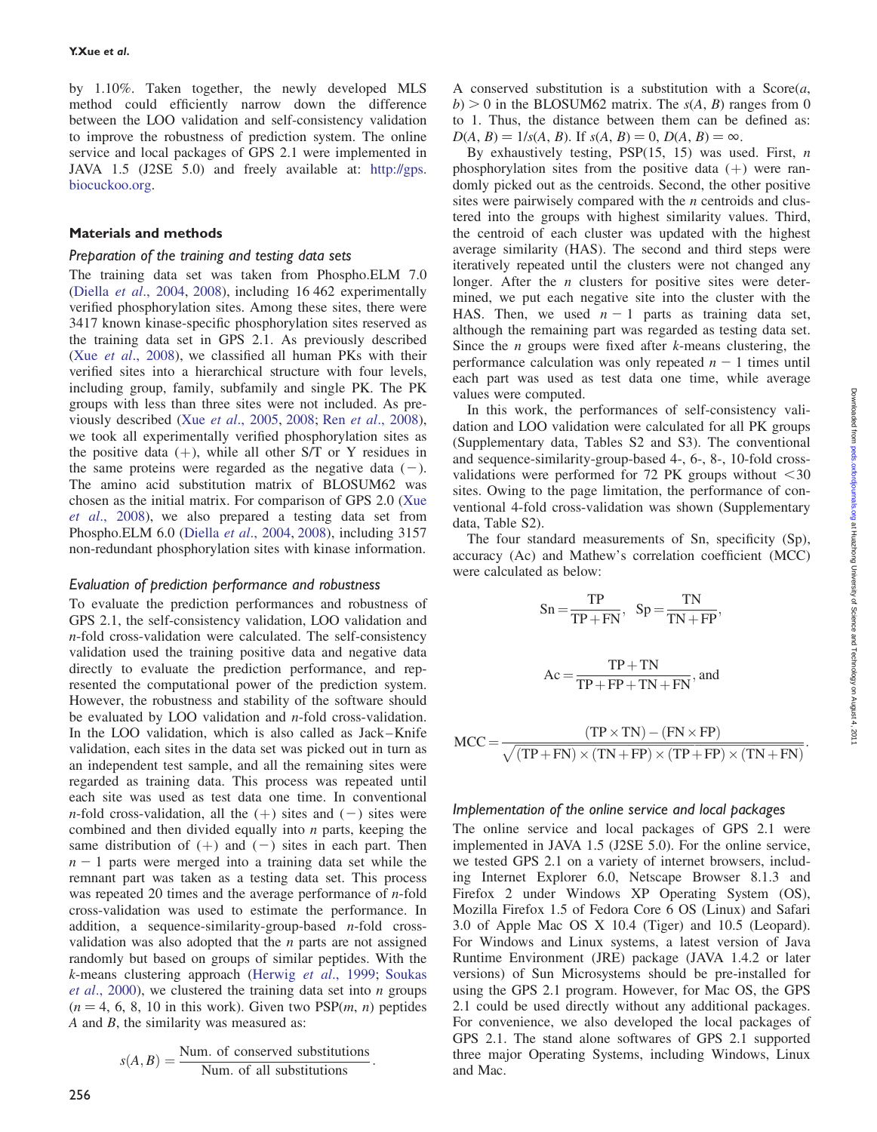by 1.10%. Taken together, the newly developed MLS method could efficiently narrow down the difference between the LOO validation and self-consistency validation to improve the robustness of prediction system. The online service and local packages of GPS 2.1 were implemented in JAVA 1.5 (J2SE 5.0) and freely available at: http://gps. biocuckoo.org.

#### Materials and methods

#### Preparation of the training and testing data sets

The training data set was taken from Phospho.ELM 7.0 (Diella et al[., 2004](#page-5-0), [2008\)](#page-5-0), including 16 462 experimentally verified phosphorylation sites. Among these sites, there were 3417 known kinase-specific phosphorylation sites reserved as the training data set in GPS 2.1. As previously described (Xue et al[., 2008](#page-5-0)), we classified all human PKs with their verified sites into a hierarchical structure with four levels, including group, family, subfamily and single PK. The PK groups with less than three sites were not included. As previously described (Xue et al[., 2005,](#page-5-0) [2008;](#page-5-0) Ren et al[., 2008](#page-5-0)), we took all experimentally verified phosphorylation sites as the positive data  $(+)$ , while all other S/T or Y residues in the same proteins were regarded as the negative data  $(-)$ . The amino acid substitution matrix of BLOSUM62 was chosen as the initial matrix. For comparison of GPS 2.0 ([Xue](#page-5-0) et al[., 2008](#page-5-0)), we also prepared a testing data set from Phospho.ELM 6.0 (Diella et al[., 2004](#page-5-0), [2008](#page-5-0)), including 3157 non-redundant phosphorylation sites with kinase information.

#### Evaluation of prediction performance and robustness

To evaluate the prediction performances and robustness of GPS 2.1, the self-consistency validation, LOO validation and n-fold cross-validation were calculated. The self-consistency validation used the training positive data and negative data directly to evaluate the prediction performance, and represented the computational power of the prediction system. However, the robustness and stability of the software should be evaluated by LOO validation and n-fold cross-validation. In the LOO validation, which is also called as Jack–Knife validation, each sites in the data set was picked out in turn as an independent test sample, and all the remaining sites were regarded as training data. This process was repeated until each site was used as test data one time. In conventional *n*-fold cross-validation, all the  $(+)$  sites and  $(-)$  sites were combined and then divided equally into  $n$  parts, keeping the same distribution of  $(+)$  and  $(-)$  sites in each part. Then  $n - 1$  parts were merged into a training data set while the remnant part was taken as a testing data set. This process was repeated 20 times and the average performance of  $n$ -fold cross-validation was used to estimate the performance. In addition, a sequence-similarity-group-based  $n$ -fold crossvalidation was also adopted that the  $n$  parts are not assigned randomly but based on groups of similar peptides. With the k-means clustering approach [\(Herwig](#page-5-0) et al., 1999; [Soukas](#page-5-0) *et al.*, 2000), we clustered the training data set into  $n$  groups  $(n = 4, 6, 8, 10$  in this work). Given two PSP $(m, n)$  peptides  $A$  and  $B$ , the similarity was measured as:

$$
s(A, B) = \frac{\text{Num. of conserved substitutions}}{\text{Num. of all substitutions}}.
$$

A conserved substitution is a substitution with a  $Score(a,$  $b$ ) > 0 in the BLOSUM62 matrix. The  $s(A, B)$  ranges from 0 to 1. Thus, the distance between them can be defined as:  $D(A, B) = 1/s(A, B)$ . If  $s(A, B) = 0$ ,  $D(A, B) = \infty$ .

By exhaustively testing,  $PSP(15, 15)$  was used. First, n phosphorylation sites from the positive data  $(+)$  were randomly picked out as the centroids. Second, the other positive sites were pairwisely compared with the  $n$  centroids and clustered into the groups with highest similarity values. Third, the centroid of each cluster was updated with the highest average similarity (HAS). The second and third steps were iteratively repeated until the clusters were not changed any longer. After the  $n$  clusters for positive sites were determined, we put each negative site into the cluster with the HAS. Then, we used  $n - 1$  parts as training data set, although the remaining part was regarded as testing data set. Since the *n* groups were fixed after  $k$ -means clustering, the performance calculation was only repeated  $n - 1$  times until each part was used as test data one time, while average values were computed.

In this work, the performances of self-consistency validation and LOO validation were calculated for all PK groups (Supplementary data, Tables S2 and S3). The conventional and sequence-similarity-group-based 4-, 6-, 8-, 10-fold crossvalidations were performed for 72 PK groups without  $<30$ sites. Owing to the page limitation, the performance of conventional 4-fold cross-validation was shown (Supplementary data, Table S2).

The four standard measurements of Sn, specificity (Sp), accuracy (Ac) and Mathew's correlation coefficient (MCC) were calculated as below:

$$
Sn = \frac{TP}{TP + FN}, \quad Sp = \frac{TN}{TN + FP},
$$

$$
Ac = \frac{TP + TN}{TP + FP + TN + FN}, \text{and}
$$

$$
MCC = \frac{(TP \times TN) - (FN \times FP)}{\sqrt{(TP + FN) \times (TN + FP) \times (TP + FP) \times (TN + FN)}}
$$

#### Implementation of the online service and local packages

The online service and local packages of GPS 2.1 were implemented in JAVA 1.5 (J2SE 5.0). For the online service, we tested GPS 2.1 on a variety of internet browsers, including Internet Explorer 6.0, Netscape Browser 8.1.3 and Firefox 2 under Windows XP Operating System (OS), Mozilla Firefox 1.5 of Fedora Core 6 OS (Linux) and Safari 3.0 of Apple Mac OS X 10.4 (Tiger) and 10.5 (Leopard). For Windows and Linux systems, a latest version of Java Runtime Environment (JRE) package (JAVA 1.4.2 or later versions) of Sun Microsystems should be pre-installed for using the GPS 2.1 program. However, for Mac OS, the GPS 2.1 could be used directly without any additional packages. For convenience, we also developed the local packages of GPS 2.1. The stand alone softwares of GPS 2.1 supported three major Operating Systems, including Windows, Linux and Mac.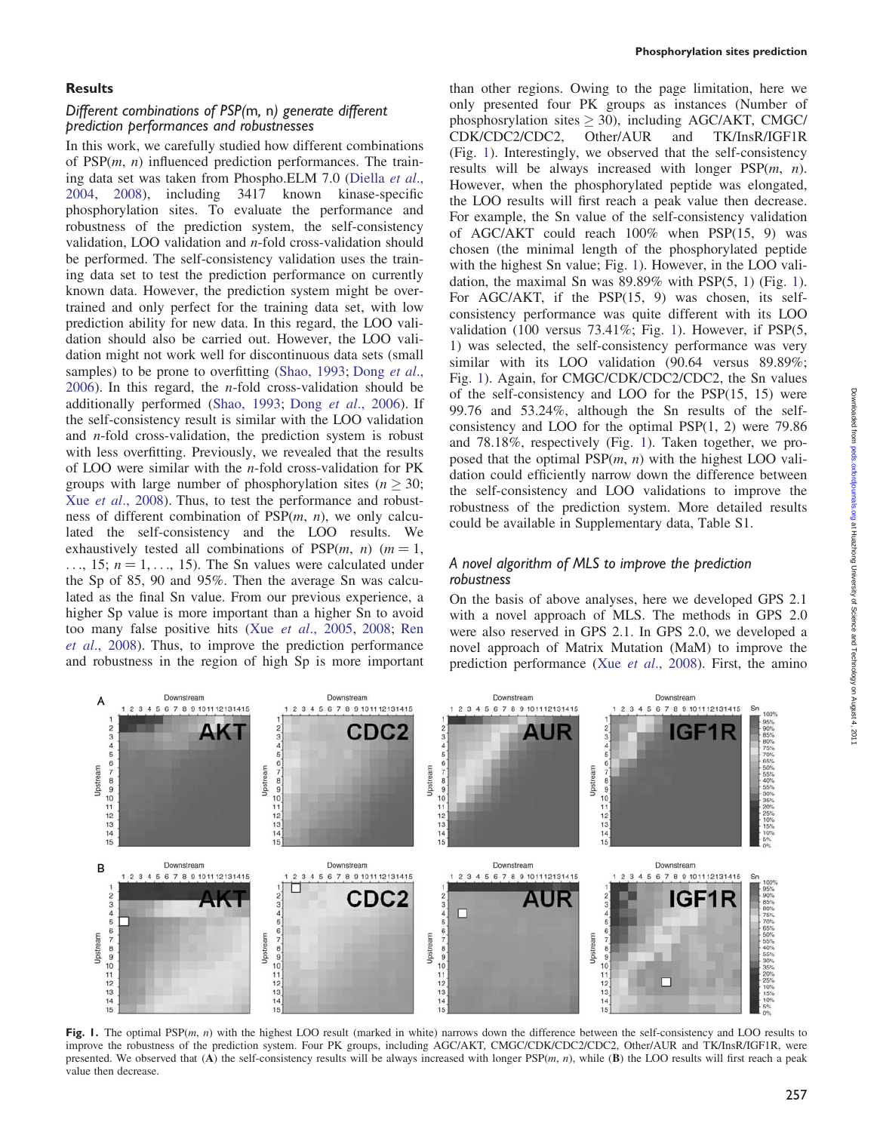#### **Results**

## Different combinations of PSP(m, n) generate different prediction performances and robustnesses

In this work, we carefully studied how different combinations of  $PSP(m, n)$  influenced prediction performances. The training data set was taken from Phospho.ELM 7.0 [\(Diella](#page-5-0) et al., [2004](#page-5-0), [2008](#page-5-0)), including 3417 known kinase-specific phosphorylation sites. To evaluate the performance and robustness of the prediction system, the self-consistency validation, LOO validation and  $n$ -fold cross-validation should be performed. The self-consistency validation uses the training data set to test the prediction performance on currently known data. However, the prediction system might be overtrained and only perfect for the training data set, with low prediction ability for new data. In this regard, the LOO validation should also be carried out. However, the LOO validation might not work well for discontinuous data sets (small samples) to be prone to overfitting [\(Shao, 1993](#page-5-0); [Dong](#page-5-0) et al.,  $2006$ ). In this regard, the *n*-fold cross-validation should be additionally performed ([Shao, 1993](#page-5-0); Dong et al[., 2006\)](#page-5-0). If the self-consistency result is similar with the LOO validation and n-fold cross-validation, the prediction system is robust with less overfitting. Previously, we revealed that the results of LOO were similar with the  $n$ -fold cross-validation for PK groups with large number of phosphorylation sites ( $n \geq 30$ ; Xue *et al.*, 2008). Thus, to test the performance and robustness of different combination of  $PSP(m, n)$ , we only calculated the self-consistency and the LOO results. We exhaustively tested all combinations of  $PSP(m, n)$  ( $m = 1$ ,  $\ldots$ , 15;  $n = 1, \ldots, 15$ ). The Sn values were calculated under the Sp of 85, 90 and 95%. Then the average Sn was calculated as the final Sn value. From our previous experience, a higher Sp value is more important than a higher Sn to avoid too many false positive hits (Xue et al[., 2005,](#page-5-0) [2008](#page-5-0); [Ren](#page-5-0) et al[., 2008\)](#page-5-0). Thus, to improve the prediction performance and robustness in the region of high Sp is more important than other regions. Owing to the page limitation, here we only presented four PK groups as instances (Number of phosphosrylation sites  $\geq$  30), including AGC/AKT, CMGC/ CDK/CDC2/CDC2, Other/AUR and TK/InsR/IGF1R (Fig. 1). Interestingly, we observed that the self-consistency results will be always increased with longer  $PSP(m, n)$ . However, when the phosphorylated peptide was elongated, the LOO results will first reach a peak value then decrease. For example, the Sn value of the self-consistency validation of AGC/AKT could reach 100% when PSP(15, 9) was chosen (the minimal length of the phosphorylated peptide with the highest Sn value; Fig. 1). However, in the LOO validation, the maximal Sn was 89.89% with PSP(5, 1) (Fig. 1). For AGC/AKT, if the PSP(15, 9) was chosen, its selfconsistency performance was quite different with its LOO validation (100 versus 73.41%; Fig. 1). However, if PSP(5, 1) was selected, the self-consistency performance was very similar with its LOO validation (90.64 versus 89.89%; Fig. 1). Again, for CMGC/CDK/CDC2/CDC2, the Sn values of the self-consistency and LOO for the PSP(15, 15) were 99.76 and 53.24%, although the Sn results of the selfconsistency and LOO for the optimal PSP(1, 2) were 79.86 and 78.18%, respectively (Fig. 1). Taken together, we proposed that the optimal  $PSP(m, n)$  with the highest LOO validation could efficiently narrow down the difference between the self-consistency and LOO validations to improve the robustness of the prediction system. More detailed results could be available in Supplementary data, Table S1.

## A novel algorithm of MLS to improve the prediction robustness

On the basis of above analyses, here we developed GPS 2.1 with a novel approach of MLS. The methods in GPS 2.0 were also reserved in GPS 2.1. In GPS 2.0, we developed a novel approach of Matrix Mutation (MaM) to improve the prediction performance (Xue et al[., 2008](#page-5-0)). First, the amino



Fig. 1. The optimal PSP $(m, n)$  with the highest LOO result (marked in white) narrows down the difference between the self-consistency and LOO results to improve the robustness of the prediction system. Four PK groups, including AGC/AKT, CMGC/CDK/CDC2/CDC2, Other/AUR and TK/InsR/IGF1R, were presented. We observed that (A) the self-consistency results will be always increased with longer  $PSP(m, n)$ , while (B) the LOO results will first reach a peak value then decrease.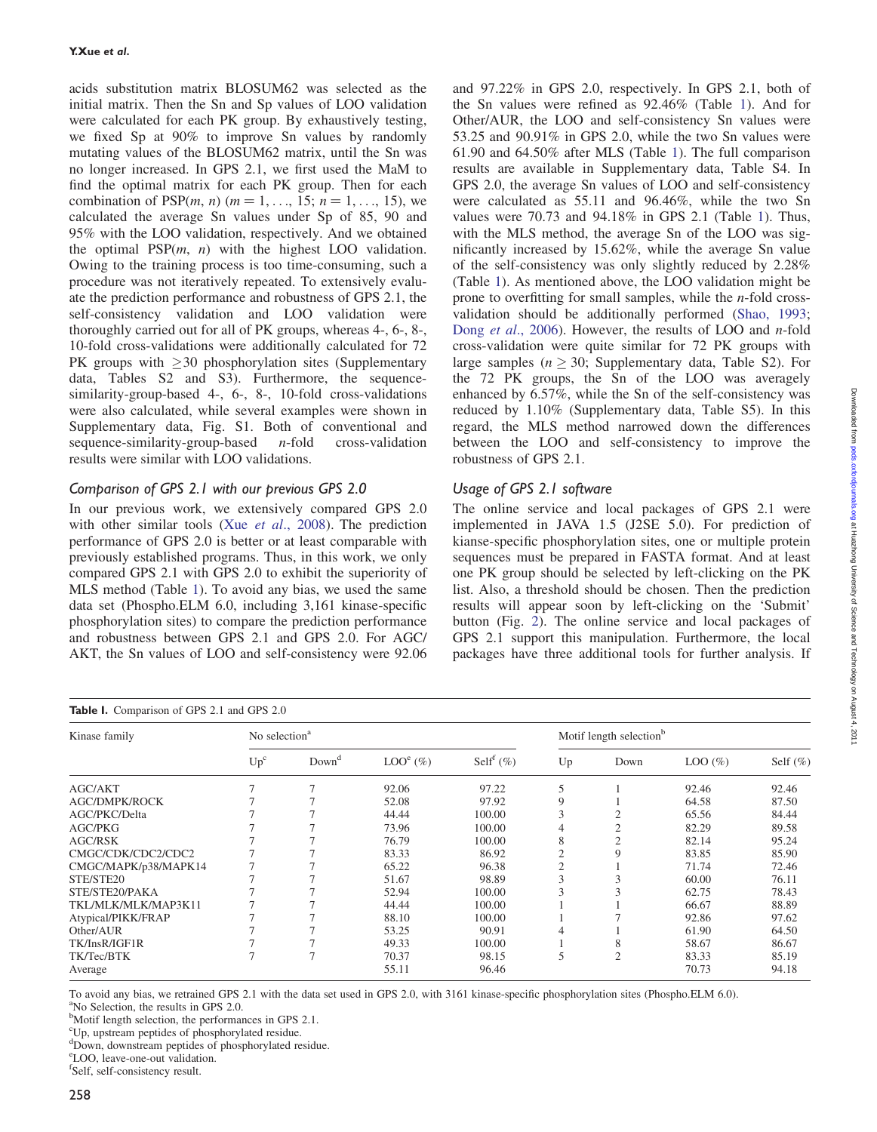acids substitution matrix BLOSUM62 was selected as the initial matrix. Then the Sn and Sp values of LOO validation were calculated for each PK group. By exhaustively testing, we fixed Sp at 90% to improve Sn values by randomly mutating values of the BLOSUM62 matrix, until the Sn was no longer increased. In GPS 2.1, we first used the MaM to find the optimal matrix for each PK group. Then for each combination of PSP $(m, n)$   $(m = 1, ..., 15; n = 1, ..., 15)$ , we calculated the average Sn values under Sp of 85, 90 and 95% with the LOO validation, respectively. And we obtained the optimal  $PSP(m, n)$  with the highest LOO validation. Owing to the training process is too time-consuming, such a procedure was not iteratively repeated. To extensively evaluate the prediction performance and robustness of GPS 2.1, the self-consistency validation and LOO validation were thoroughly carried out for all of PK groups, whereas 4-, 6-, 8-, 10-fold cross-validations were additionally calculated for 72 PK groups with  $\geq$  30 phosphorylation sites (Supplementary data, Tables S2 and S3). Furthermore, the sequencesimilarity-group-based 4-, 6-, 8-, 10-fold cross-validations were also calculated, while several examples were shown in Supplementary data, Fig. S1. Both of conventional and sequence-similarity-group-based  $n$ -fold cross-validation results were similar with LOO validations.

## Comparison of GPS 2.1 with our previous GPS 2.0

In our previous work, we extensively compared GPS 2.0 with other similar tools (Xue et al[., 2008\)](#page-5-0). The prediction performance of GPS 2.0 is better or at least comparable with previously established programs. Thus, in this work, we only compared GPS 2.1 with GPS 2.0 to exhibit the superiority of MLS method (Table 1). To avoid any bias, we used the same data set (Phospho.ELM 6.0, including 3,161 kinase-specific phosphorylation sites) to compare the prediction performance and robustness between GPS 2.1 and GPS 2.0. For AGC/ AKT, the Sn values of LOO and self-consistency were 92.06

and 97.22% in GPS 2.0, respectively. In GPS 2.1, both of the Sn values were refined as 92.46% (Table 1). And for Other/AUR, the LOO and self-consistency Sn values were 53.25 and 90.91% in GPS 2.0, while the two Sn values were 61.90 and 64.50% after MLS (Table 1). The full comparison results are available in Supplementary data, Table S4. In GPS 2.0, the average Sn values of LOO and self-consistency were calculated as 55.11 and 96.46%, while the two Sn values were 70.73 and 94.18% in GPS 2.1 (Table 1). Thus, with the MLS method, the average Sn of the LOO was significantly increased by 15.62%, while the average Sn value of the self-consistency was only slightly reduced by 2.28% (Table 1). As mentioned above, the LOO validation might be prone to overfitting for small samples, while the n-fold crossvalidation should be additionally performed [\(Shao, 1993](#page-5-0); Dong et al[., 2006\)](#page-5-0). However, the results of LOO and n-fold cross-validation were quite similar for 72 PK groups with large samples ( $n \geq 30$ ; Supplementary data, Table S2). For the 72 PK groups, the Sn of the LOO was averagely enhanced by 6.57%, while the Sn of the self-consistency was reduced by 1.10% (Supplementary data, Table S5). In this regard, the MLS method narrowed down the differences between the LOO and self-consistency to improve the robustness of GPS 2.1.

# Usage of GPS 2.1 software

The online service and local packages of GPS 2.1 were implemented in JAVA 1.5 (J2SE 5.0). For prediction of kianse-specific phosphorylation sites, one or multiple protein sequences must be prepared in FASTA format. And at least one PK group should be selected by left-clicking on the PK list. Also, a threshold should be chosen. Then the prediction results will appear soon by left-clicking on the 'Submit' button (Fig. [2](#page-4-0)). The online service and local packages of GPS 2.1 support this manipulation. Furthermore, the local packages have three additional tools for further analysis. If

| Table I. Comparison of GPS 2.1 and GPS 2.0 |                           |                   |            |                          |                                     |                |           |             |  |  |  |
|--------------------------------------------|---------------------------|-------------------|------------|--------------------------|-------------------------------------|----------------|-----------|-------------|--|--|--|
| Kinase family                              | No selection <sup>a</sup> |                   |            |                          | Motif length selection <sup>b</sup> |                |           |             |  |  |  |
|                                            | Up <sup>c</sup>           | Down <sup>d</sup> | $LOOe(\%)$ | Self <sup>f</sup> $(\%)$ | Up                                  | Down           | $LOO(\%)$ | Self $(\%)$ |  |  |  |
| <b>AGC/AKT</b>                             |                           | 7                 | 92.06      | 97.22                    | 5                                   |                | 92.46     | 92.46       |  |  |  |
| <b>AGC/DMPK/ROCK</b>                       |                           |                   | 52.08      | 97.92                    | 9                                   |                | 64.58     | 87.50       |  |  |  |
| AGC/PKC/Delta                              |                           |                   | 44.44      | 100.00                   |                                     |                | 65.56     | 84.44       |  |  |  |
| <b>AGC/PKG</b>                             |                           |                   | 73.96      | 100.00                   |                                     | $\mathcal{D}$  | 82.29     | 89.58       |  |  |  |
| <b>AGC/RSK</b>                             |                           |                   | 76.79      | 100.00                   |                                     |                | 82.14     | 95.24       |  |  |  |
| CMGC/CDK/CDC2/CDC2                         |                           |                   | 83.33      | 86.92                    |                                     | 9              | 83.85     | 85.90       |  |  |  |
| CMGC/MAPK/p38/MAPK14                       |                           |                   | 65.22      | 96.38                    |                                     |                | 71.74     | 72.46       |  |  |  |
| STE/STE20                                  |                           |                   | 51.67      | 98.89                    |                                     |                | 60.00     | 76.11       |  |  |  |
| STE/STE20/PAKA                             |                           |                   | 52.94      | 100.00                   |                                     |                | 62.75     | 78.43       |  |  |  |
| TKL/MLK/MLK/MAP3K11                        |                           |                   | 44.44      | 100.00                   |                                     |                | 66.67     | 88.89       |  |  |  |
| Atypical/PIKK/FRAP                         |                           |                   | 88.10      | 100.00                   |                                     |                | 92.86     | 97.62       |  |  |  |
| Other/AUR                                  |                           |                   | 53.25      | 90.91                    |                                     |                | 61.90     | 64.50       |  |  |  |
| TK/InsR/IGF1R                              |                           |                   | 49.33      | 100.00                   |                                     | 8              | 58.67     | 86.67       |  |  |  |
| TK/Tec/BTK                                 |                           | 7                 | 70.37      | 98.15                    | 5                                   | $\overline{2}$ | 83.33     | 85.19       |  |  |  |
| Average                                    |                           |                   | 55.11      | 96.46                    |                                     |                | 70.73     | 94.18       |  |  |  |

To avoid any bias, we retrained GPS 2.1 with the data set used in GPS 2.0, with 3161 kinase-specific phosphorylation sites (Phospho.ELM 6.0). a No Selection, the results in GPS 2.0.

<sup>b</sup>Motif length selection, the performances in GPS 2.1.

<sup>c</sup>Up, upstream peptides of phosphorylated residue.

dDown, downstream peptides of phosphorylated residue.

e LOO, leave-one-out validation.

f Self, self-consistency result.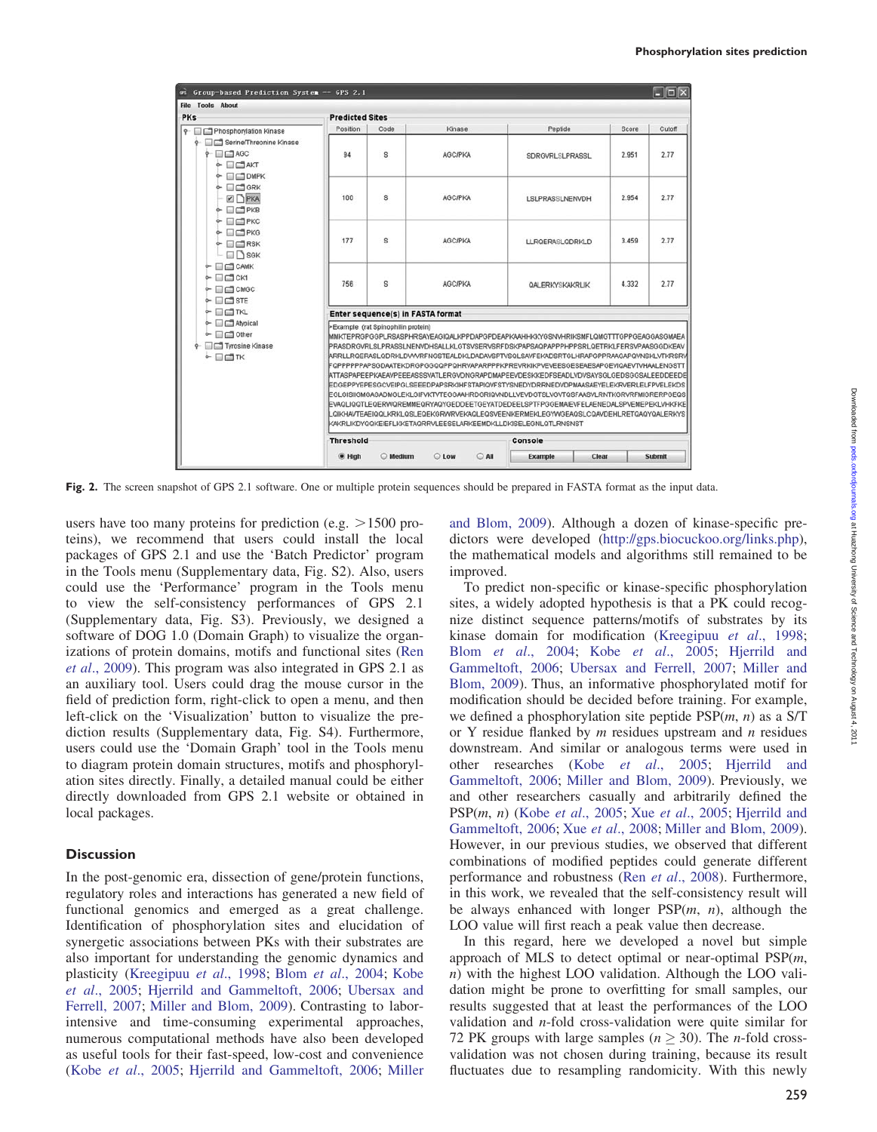<span id="page-4-0"></span>

| Group-based Prediction System -- GPS 2.1<br><b>CPS</b><br><b>Tools About</b><br>File                                                                                                                                                                                                                                                                                                                                                                                                                     |                                                                                                                                                                                                                                                                                                                                                                                                                                                                                                                                                                                                                                                                                                                                                                                                                                                                                                                             |               |                         |                        |       | $ .\ $ o $ $ x |  |  |  |  |
|----------------------------------------------------------------------------------------------------------------------------------------------------------------------------------------------------------------------------------------------------------------------------------------------------------------------------------------------------------------------------------------------------------------------------------------------------------------------------------------------------------|-----------------------------------------------------------------------------------------------------------------------------------------------------------------------------------------------------------------------------------------------------------------------------------------------------------------------------------------------------------------------------------------------------------------------------------------------------------------------------------------------------------------------------------------------------------------------------------------------------------------------------------------------------------------------------------------------------------------------------------------------------------------------------------------------------------------------------------------------------------------------------------------------------------------------------|---------------|-------------------------|------------------------|-------|----------------|--|--|--|--|
| <b>PKs</b>                                                                                                                                                                                                                                                                                                                                                                                                                                                                                               | <b>Predicted Sites</b>                                                                                                                                                                                                                                                                                                                                                                                                                                                                                                                                                                                                                                                                                                                                                                                                                                                                                                      |               |                         |                        |       |                |  |  |  |  |
| o- □□ Phosphorylation Kinase<br><b>9</b> Serine/Threonine Kinase<br>$P$ $\Box$ AGC<br>$\sim$ $\Box$ $\Box$ AKT<br>$\sim$ $\Box$ OMPK<br>$\sim$ $\Box$ GRK<br>$\n  F$<br>$\triangle$ $\Box$ PKB<br>$\sim$ $\Box$ PKC<br>$\circ$ $\Box$ PKG<br>$\triangle$ $\Box$ RSK<br>$-\Box$ SGK<br>$\sim$ $\Box$ CAMK<br>$\sim$ $\Box$ CK1<br>← □□ CMGC<br>$\triangle$ $\Box$ STE<br>$\sim$ $\Box$ TKL<br>$\leftarrow$ $\Box$ Atypical<br>$\sim$ $\Box$ Other<br><b>9</b> Tyrosine Kinase<br>$\circ$ $\Box$ $\Box$ TK | Position                                                                                                                                                                                                                                                                                                                                                                                                                                                                                                                                                                                                                                                                                                                                                                                                                                                                                                                    | Code          | Kinase                  | Peptide                | Score | Cutoff         |  |  |  |  |
|                                                                                                                                                                                                                                                                                                                                                                                                                                                                                                          | 94                                                                                                                                                                                                                                                                                                                                                                                                                                                                                                                                                                                                                                                                                                                                                                                                                                                                                                                          | s             | <b>AGC/PKA</b>          | <b>SDRGVRLSLPRASSL</b> | 2.951 | 2.77           |  |  |  |  |
|                                                                                                                                                                                                                                                                                                                                                                                                                                                                                                          | 100                                                                                                                                                                                                                                                                                                                                                                                                                                                                                                                                                                                                                                                                                                                                                                                                                                                                                                                         | s             | <b>AGC/PKA</b>          | LSLPRASSLNENVDH        | 2.954 | 2.77           |  |  |  |  |
|                                                                                                                                                                                                                                                                                                                                                                                                                                                                                                          | 177                                                                                                                                                                                                                                                                                                                                                                                                                                                                                                                                                                                                                                                                                                                                                                                                                                                                                                                         | s             | <b>AGC/PKA</b>          | LLRQERASLQDRKLD        | 3.459 | 2.77           |  |  |  |  |
|                                                                                                                                                                                                                                                                                                                                                                                                                                                                                                          | 756                                                                                                                                                                                                                                                                                                                                                                                                                                                                                                                                                                                                                                                                                                                                                                                                                                                                                                                         | s             | <b>AGC/PKA</b>          | QALERKYSKAKRLIK        | 4.332 | 2.77           |  |  |  |  |
|                                                                                                                                                                                                                                                                                                                                                                                                                                                                                                          | Enter sequence(s) in FASTA format                                                                                                                                                                                                                                                                                                                                                                                                                                                                                                                                                                                                                                                                                                                                                                                                                                                                                           |               |                         |                        |       |                |  |  |  |  |
|                                                                                                                                                                                                                                                                                                                                                                                                                                                                                                          | Example (rat Spinophilin protein)<br>MMKTEPRGPGGPLRSASPHRSAYEAGIQALKPPDAPGPDEAPKAAHHKKYGSNVHRIKSMFLQMGTTTGPPGEAGGASGMAEA<br>PRASDRGVRLSLPRASSLNENVDHSALLKLGTSVSERVSRFDSKPAPSAQPAPPPHPPSRLQETRKLFERSVPAASGGDKEAV<br>ARRLLROERASLODRKLDVVVRFNGSTEALDKLDADAVSPTVSQLSAVFEKADSRTGLHRAPGPPRAAGAPQVNSKLVTKRSRV<br>FopppppppapscDAATEKDRGPGGQQPPQHRVAPARPPPKPREVRKIKPVEVEESGESEAESAPGEVIQAEVTVHAALENGSTT<br>ATTASPAPEEPKAEAVPEEEASSSVATLERGVDNGRAPDMAPEEVDESKKEDFSEADLVDVSAYSGLGEDSGGSALEEDDEEDE<br>EDGEPPYEPESGCVEIPGLSEEEDPAPSRKIHFSTAPIQVFSTYSNEDYDRRNEDVDPMAASAEYELEKRVERLELFPVELEKDS<br>EGLGISIIGMGAGADMGLEKLGIFVKTVTEGGAAHRDGRIQVNDLLVEVDGTSLVGVTQSFAASVLRNTKGRVRFMIGRERPGEQS<br>EVAQLIQQTLEQERWQREMMEQRYAQYGEDDEETGEYATDEDEELSPTFPGGEMAIEVFELAENEDALSPVEMEPEKLVHKFKE<br>LQIKHAVTEAEIQQLKRKLQSLEQEKGRWRVEKAQLEQSVEENKERMEKLEGYWGEAQSLCQAVDEHLRETQAQYQALERKYS<br>KAKRLIKDYQQKEIEFLKKETAQRRVLEESELARKEEMDKLLDKISELEGNLQTLRNSNST |               |                         |                        |       |                |  |  |  |  |
|                                                                                                                                                                                                                                                                                                                                                                                                                                                                                                          | <b>Threshold</b><br>Console                                                                                                                                                                                                                                                                                                                                                                                                                                                                                                                                                                                                                                                                                                                                                                                                                                                                                                 |               |                         |                        |       |                |  |  |  |  |
|                                                                                                                                                                                                                                                                                                                                                                                                                                                                                                          |                                                                                                                                                                                                                                                                                                                                                                                                                                                                                                                                                                                                                                                                                                                                                                                                                                                                                                                             |               |                         |                        |       |                |  |  |  |  |
|                                                                                                                                                                                                                                                                                                                                                                                                                                                                                                          | $\bullet$ High                                                                                                                                                                                                                                                                                                                                                                                                                                                                                                                                                                                                                                                                                                                                                                                                                                                                                                              | <b>Medium</b> | C Low<br>$\bigcirc$ All | Example                | Clear | Submit         |  |  |  |  |

Fig. 2. The screen snapshot of GPS 2.1 software. One or multiple protein sequences should be prepared in FASTA format as the input data.

users have too many proteins for prediction (e.g.  $>1500$  proteins), we recommend that users could install the local packages of GPS 2.1 and use the 'Batch Predictor' program in the Tools menu (Supplementary data, Fig. S2). Also, users could use the 'Performance' program in the Tools menu to view the self-consistency performances of GPS 2.1 (Supplementary data, Fig. S3). Previously, we designed a software of DOG 1.0 (Domain Graph) to visualize the organizations of protein domains, motifs and functional sites [\(Ren](#page-5-0) et al[., 2009](#page-5-0)). This program was also integrated in GPS 2.1 as an auxiliary tool. Users could drag the mouse cursor in the field of prediction form, right-click to open a menu, and then left-click on the 'Visualization' button to visualize the prediction results (Supplementary data, Fig. S4). Furthermore, users could use the 'Domain Graph' tool in the Tools menu to diagram protein domain structures, motifs and phosphorylation sites directly. Finally, a detailed manual could be either directly downloaded from GPS 2.1 website or obtained in local packages.

#### **Discussion**

In the post-genomic era, dissection of gene/protein functions, regulatory roles and interactions has generated a new field of functional genomics and emerged as a great challenge. Identification of phosphorylation sites and elucidation of synergetic associations between PKs with their substrates are also important for understanding the genomic dynamics and plasticity [\(Kreegipuu](#page-5-0) et al., 1998; Blom et al[., 2004;](#page-5-0) [Kobe](#page-5-0) et al[., 2005](#page-5-0); [Hjerrild and Gammeltoft, 2006](#page-5-0); [Ubersax and](#page-5-0) [Ferrell, 2007;](#page-5-0) [Miller and Blom, 2009](#page-5-0)). Contrasting to laborintensive and time-consuming experimental approaches, numerous computational methods have also been developed as useful tools for their fast-speed, low-cost and convenience (Kobe et al[., 2005;](#page-5-0) [Hjerrild and Gammeltoft, 2006](#page-5-0); [Miller](#page-5-0) [and Blom, 2009\)](#page-5-0). Although a dozen of kinase-specific predictors were developed (http://gps.biocuckoo.org/links.php), the mathematical models and algorithms still remained to be improved.

To predict non-specific or kinase-specific phosphorylation sites, a widely adopted hypothesis is that a PK could recognize distinct sequence patterns/motifs of substrates by its kinase domain for modification [\(Kreegipuu](#page-5-0) et al., 1998; Blom et al[., 2004;](#page-5-0) Kobe et al[., 2005](#page-5-0); [Hjerrild and](#page-5-0) [Gammeltoft, 2006;](#page-5-0) [Ubersax and Ferrell, 2007;](#page-5-0) [Miller and](#page-5-0) [Blom, 2009\)](#page-5-0). Thus, an informative phosphorylated motif for modification should be decided before training. For example, we defined a phosphorylation site peptide  $PSP(m, n)$  as a S/T or Y residue flanked by  $m$  residues upstream and  $n$  residues downstream. And similar or analogous terms were used in other researches (Kobe et al[., 2005](#page-5-0); [Hjerrild and](#page-5-0) [Gammeltoft, 2006;](#page-5-0) [Miller and Blom, 2009\)](#page-5-0). Previously, we and other researchers casually and arbitrarily defined the  $PSP(m, n)$  (Kobe *et al.*, 2005; Xue *et al.*, 2005; [Hjerrild and](#page-5-0) [Gammeltoft, 2006](#page-5-0); Xue et al[., 2008](#page-5-0); [Miller and Blom, 2009](#page-5-0)). However, in our previous studies, we observed that different combinations of modified peptides could generate different performance and robustness (Ren et al[., 2008](#page-5-0)). Furthermore, in this work, we revealed that the self-consistency result will be always enhanced with longer  $PSP(m, n)$ , although the LOO value will first reach a peak value then decrease.

In this regard, here we developed a novel but simple approach of MLS to detect optimal or near-optimal  $PSP(m,$ n) with the highest LOO validation. Although the LOO validation might be prone to overfitting for small samples, our results suggested that at least the performances of the LOO validation and n-fold cross-validation were quite similar for 72 PK groups with large samples ( $n \ge 30$ ). The *n*-fold crossvalidation was not chosen during training, because its result fluctuates due to resampling randomicity. With this newly